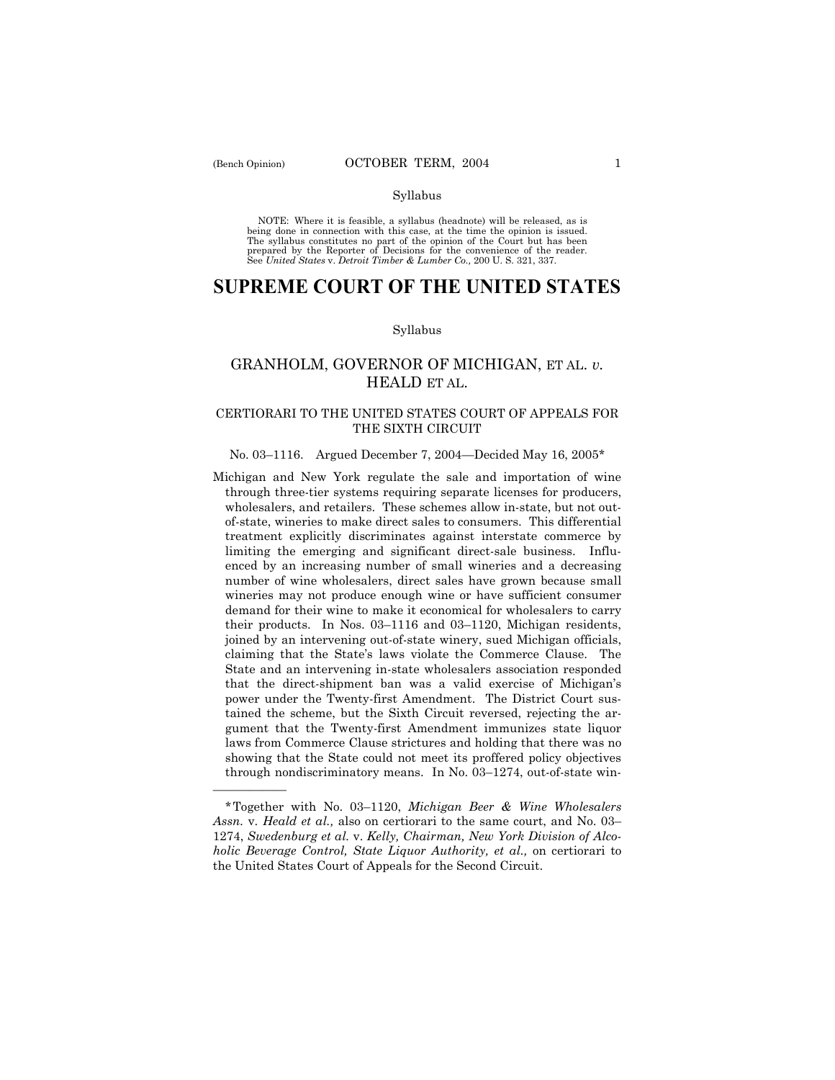NOTE: Where it is feasible, a syllabus (headnote) will be released, as is being done in connection with this case, at the time the opinion is issued. The syllabus constitutes no part of the opinion of the Court but has been<br>prepared by the Reporter of Decisions for the convenience of the reader.<br>See United States v. Detroit Timber & Lumber Co., 200 U. S. 321, 337.

# **SUPREME COURT OF THE UNITED STATES**

#### Syllabus

# GRANHOLM, GOVERNOR OF MICHIGAN, ET AL. *v.* HEALD ET AL.

### CERTIORARI TO THE UNITED STATES COURT OF APPEALS FOR THE SIXTH CIRCUIT

#### No. 03–1116. Argued December 7, 2004–Decided May 16, 2005\*

Michigan and New York regulate the sale and importation of wine through three-tier systems requiring separate licenses for producers, wholesalers, and retailers. These schemes allow in-state, but not outof-state, wineries to make direct sales to consumers. This differential treatment explicitly discriminates against interstate commerce by limiting the emerging and significant direct-sale business. Influenced by an increasing number of small wineries and a decreasing number of wine wholesalers, direct sales have grown because small wineries may not produce enough wine or have sufficient consumer demand for their wine to make it economical for wholesalers to carry their products. In Nos.  $03-1116$  and  $03-1120$ , Michigan residents, joined by an intervening out-of-state winery, sued Michigan officials, claiming that the Stateís laws violate the Commerce Clause. The State and an intervening in-state wholesalers association responded that the direct-shipment ban was a valid exercise of Michigan's power under the Twenty-first Amendment. The District Court sustained the scheme, but the Sixth Circuit reversed, rejecting the argument that the Twenty-first Amendment immunizes state liquor laws from Commerce Clause strictures and holding that there was no showing that the State could not meet its proffered policy objectives through nondiscriminatory means. In No.  $03-1274$ , out-of-state win-

<u>óóóóóóóóóóóóóó</u>

<sup>\*</sup>Together with No. 03ñ1120, *Michigan Beer & Wine Wholesalers Assn.* v. *Heald et al.*, also on certiorari to the same court, and No. 03– 1274, *Swedenburg et al.* v. *Kelly, Chairman, New York Division of Alcoholic Beverage Control, State Liquor Authority, et al.,* on certiorari to the United States Court of Appeals for the Second Circuit.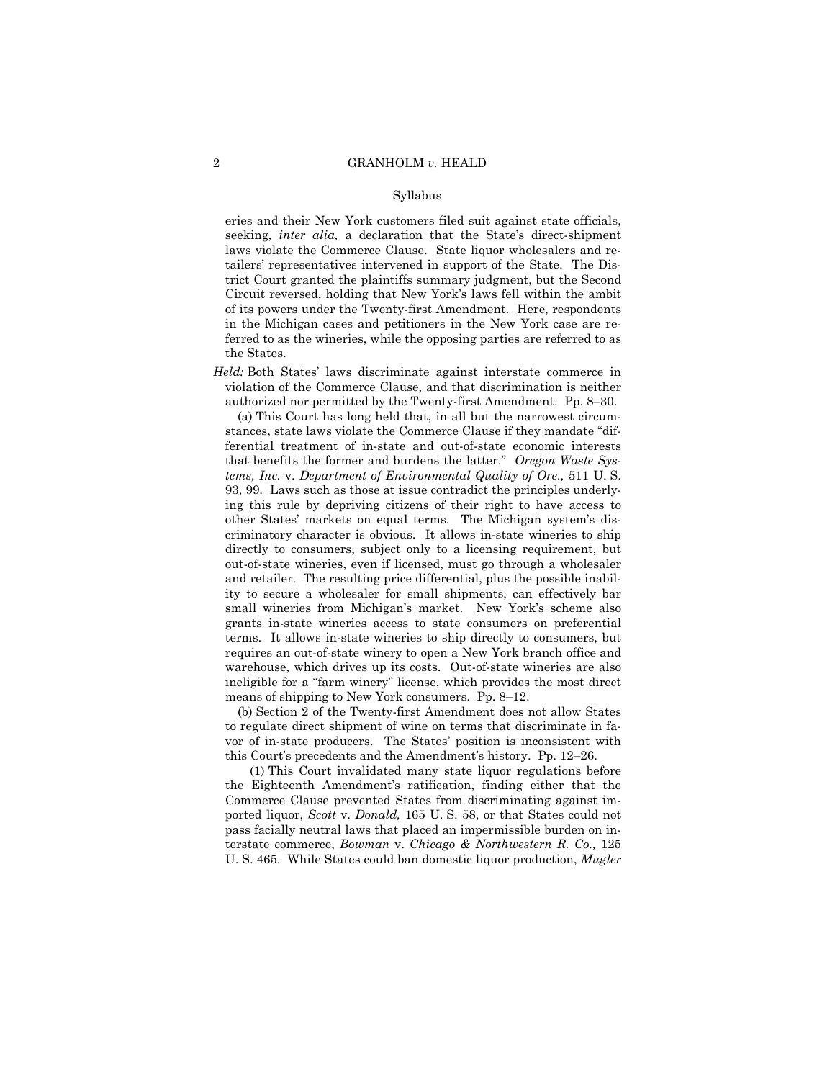eries and their New York customers filed suit against state officials, seeking, *inter alia*, a declaration that the State's direct-shipment laws violate the Commerce Clause. State liquor wholesalers and retailersí representatives intervened in support of the State. The District Court granted the plaintiffs summary judgment, but the Second Circuit reversed, holding that New York's laws fell within the ambit of its powers under the Twenty-first Amendment. Here, respondents in the Michigan cases and petitioners in the New York case are referred to as the wineries, while the opposing parties are referred to as the States.

*Held:* Both States' laws discriminate against interstate commerce in violation of the Commerce Clause, and that discrimination is neither authorized nor permitted by the Twenty-first Amendment. Pp. 8–30.

 (a) This Court has long held that, in all but the narrowest circumstances, state laws violate the Commerce Clause if they mandate "differential treatment of in-state and out-of-state economic interests that benefits the former and burdens the latter.î *Oregon Waste Systems, Inc.* v. *Department of Environmental Quality of Ore.,* 511 U. S. 93, 99. Laws such as those at issue contradict the principles underlying this rule by depriving citizens of their right to have access to other States' markets on equal terms. The Michigan system's discriminatory character is obvious. It allows in-state wineries to ship directly to consumers, subject only to a licensing requirement, but out-of-state wineries, even if licensed, must go through a wholesaler and retailer. The resulting price differential, plus the possible inability to secure a wholesaler for small shipments, can effectively bar small wineries from Michigan's market. New York's scheme also grants in-state wineries access to state consumers on preferential terms. It allows in-state wineries to ship directly to consumers, but requires an out-of-state winery to open a New York branch office and warehouse, which drives up its costs. Out-of-state wineries are also ineligible for a "farm winery" license, which provides the most direct means of shipping to New York consumers. Pp.  $8-12$ .

 (b) Section 2 of the Twenty-first Amendment does not allow States to regulate direct shipment of wine on terms that discriminate in favor of in-state producers. The States' position is inconsistent with this Court's precedents and the Amendment's history. Pp. 12–26.

 (1) This Court invalidated many state liquor regulations before the Eighteenth Amendment's ratification, finding either that the Commerce Clause prevented States from discriminating against imported liquor, *Scott* v. *Donald,* 165 U. S. 58, or that States could not pass facially neutral laws that placed an impermissible burden on interstate commerce, *Bowman* v. *Chicago & Northwestern R. Co.,* 125 U. S. 465. While States could ban domestic liquor production, *Mugler*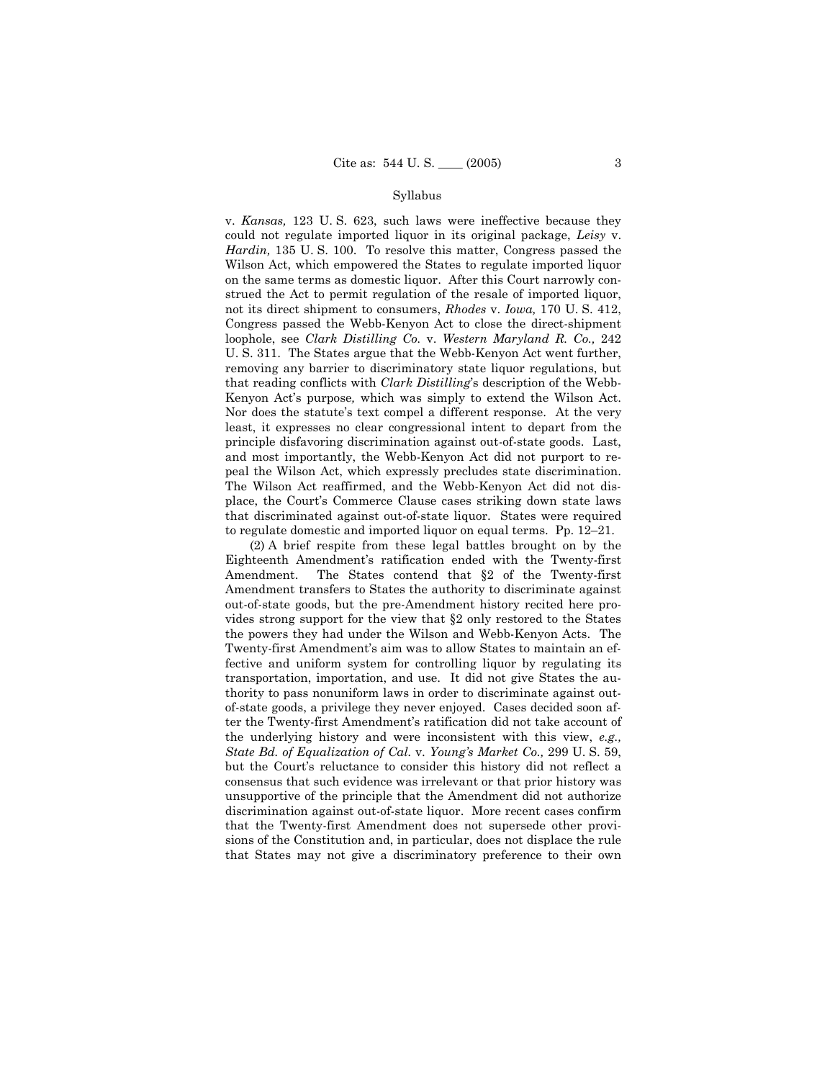v. *Kansas,* 123 U. S. 623, such laws were ineffective because they could not regulate imported liquor in its original package, *Leisy* v. *Hardin,* 135 U. S. 100. To resolve this matter, Congress passed the Wilson Act, which empowered the States to regulate imported liquor on the same terms as domestic liquor. After this Court narrowly construed the Act to permit regulation of the resale of imported liquor, not its direct shipment to consumers, *Rhodes* v. *Iowa,* 170 U. S. 412, Congress passed the Webb-Kenyon Act to close the direct-shipment loophole, see *Clark Distilling Co.* v. *Western Maryland R. Co.,* 242 U. S. 311.The States argue that the Webb-Kenyon Act went further, removing any barrier to discriminatory state liquor regulations, but that reading conflicts with *Clark Distilling*ís description of the Webb-Kenyon Actís purpose*,* which was simply to extend the Wilson Act. Nor does the statute's text compel a different response. At the very least, it expresses no clear congressional intent to depart from the principle disfavoring discrimination against out-of-state goods. Last, and most importantly, the Webb-Kenyon Act did not purport to repeal the Wilson Act, which expressly precludes state discrimination. The Wilson Act reaffirmed, and the Webb-Kenyon Act did not displace, the Courtís Commerce Clause cases striking down state laws that discriminated against out-of-state liquor. States were required to regulate domestic and imported liquor on equal terms. Pp.  $12-21$ .

 (2) A brief respite from these legal battles brought on by the Eighteenth Amendmentís ratification ended with the Twenty-first Amendment. The States contend that §2 of the Twenty-first Amendment transfers to States the authority to discriminate against out-of-state goods, but the pre-Amendment history recited here provides strong support for the view that ß2 only restored to the States the powers they had under the Wilson and Webb-Kenyon Acts. The Twenty-first Amendment's aim was to allow States to maintain an effective and uniform system for controlling liquor by regulating its transportation, importation, and use. It did not give States the authority to pass nonuniform laws in order to discriminate against outof-state goods, a privilege they never enjoyed. Cases decided soon after the Twenty-first Amendmentís ratification did not take account of the underlying history and were inconsistent with this view, *e.g., State Bd. of Equalization of Cal.* v. *Youngís Market Co.,* 299 U. S. 59, but the Court's reluctance to consider this history did not reflect a consensus that such evidence was irrelevant or that prior history was unsupportive of the principle that the Amendment did not authorize discrimination against out-of-state liquor. More recent cases confirm that the Twenty-first Amendment does not supersede other provisions of the Constitution and, in particular, does not displace the rule that States may not give a discriminatory preference to their own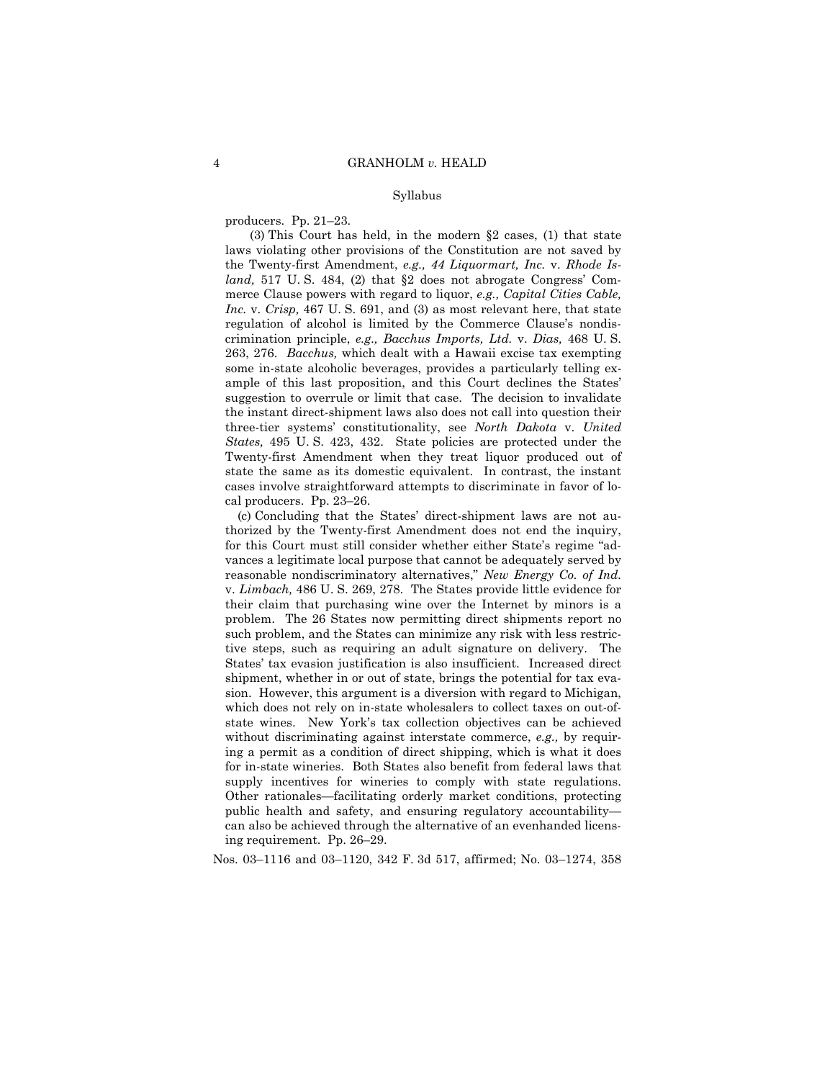producers. Pp.  $21-23$ .

(3) This Court has held, in the modern  $\S2$  cases, (1) that state laws violating other provisions of the Constitution are not saved by the Twenty-first Amendment, *e.g., 44 Liquormart, Inc.* v. *Rhode Island*, 517 U.S. 484, (2) that §2 does not abrogate Congress' Commerce Clause powers with regard to liquor, *e.g., Capital Cities Cable, Inc.* v. *Crisp,* 467 U. S. 691, and (3) as most relevant here, that state regulation of alcohol is limited by the Commerce Clause's nondiscrimination principle, *e.g., Bacchus Imports, Ltd.* v. *Dias,* 468 U. S. 263, 276. *Bacchus,* which dealt with a Hawaii excise tax exempting some in-state alcoholic beverages, provides a particularly telling example of this last proposition, and this Court declines the States' suggestion to overrule or limit that case. The decision to invalidate the instant direct-shipment laws also does not call into question their three-tier systemsí constitutionality, see *North Dakota* v. *United States,* 495 U. S. 423, 432. State policies are protected under the Twenty-first Amendment when they treat liquor produced out of state the same as its domestic equivalent. In contrast, the instant cases involve straightforward attempts to discriminate in favor of local producers. Pp.  $23-26$ .

 (c) Concluding that the Statesí direct-shipment laws are not authorized by the Twenty-first Amendment does not end the inquiry, for this Court must still consider whether either State's regime "advances a legitimate local purpose that cannot be adequately served by reasonable nondiscriminatory alternatives," *New Energy Co. of Ind.* v. *Limbach,* 486 U. S. 269, 278. The States provide little evidence for their claim that purchasing wine over the Internet by minors is a problem. The 26 States now permitting direct shipments report no such problem, and the States can minimize any risk with less restrictive steps, such as requiring an adult signature on delivery. The States' tax evasion justification is also insufficient. Increased direct shipment, whether in or out of state, brings the potential for tax evasion. However, this argument is a diversion with regard to Michigan, which does not rely on in-state wholesalers to collect taxes on out-ofstate wines. New Yorkís tax collection objectives can be achieved without discriminating against interstate commerce, *e.g.,* by requiring a permit as a condition of direct shipping, which is what it does for in-state wineries. Both States also benefit from federal laws that supply incentives for wineries to comply with state regulations. Other rationales—facilitating orderly market conditions, protecting public health and safety, and ensuring regulatory accountability can also be achieved through the alternative of an evenhanded licensing requirement. Pp. 26-29.

Nos. 03–1116 and 03–1120, 342 F. 3d 517, affirmed; No. 03–1274, 358